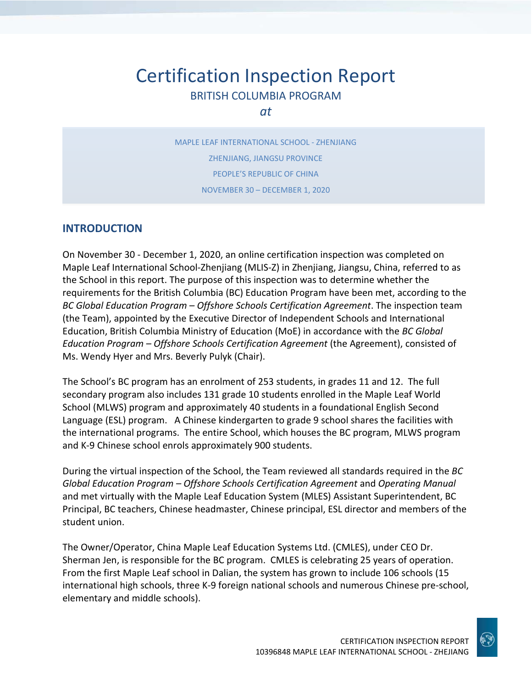# Certification Inspection Report BRITISH COLUMBIA PROGRAM

*at*

MAPLE LEAF INTERNATIONAL SCHOOL - ZHENJIANG ZHENJIANG, JIANGSU PROVINCE PEOPLE'S REPUBLIC OF CHINA NOVEMBER 30 – DECEMBER 1, 2020

#### **INTRODUCTION**

On November 30 - December 1, 2020, an online certification inspection was completed on Maple Leaf International School-Zhenjiang (MLIS-Z) in Zhenjiang, Jiangsu, China, referred to as the School in this report. The purpose of this inspection was to determine whether the requirements for the British Columbia (BC) Education Program have been met, according to the *BC Global Education Program – Offshore Schools Certification Agreement*. The inspection team (the Team), appointed by the Executive Director of Independent Schools and International Education, British Columbia Ministry of Education (MoE) in accordance with the *BC Global Education Program – Offshore Schools Certification Agreement* (the Agreement), consisted of Ms. Wendy Hyer and Mrs. Beverly Pulyk (Chair).

The School's BC program has an enrolment of 253 students, in grades 11 and 12. The full secondary program also includes 131 grade 10 students enrolled in the Maple Leaf World School (MLWS) program and approximately 40 students in a foundational English Second Language (ESL) program. A Chinese kindergarten to grade 9 school shares the facilities with the international programs. The entire School, which houses the BC program, MLWS program and K-9 Chinese school enrols approximately 900 students.

During the virtual inspection of the School, the Team reviewed all standards required in the *BC Global Education Program – Offshore Schools Certification Agreement* and *Operating Manual*  and met virtually with the Maple Leaf Education System (MLES) Assistant Superintendent, BC Principal, BC teachers, Chinese headmaster, Chinese principal, ESL director and members of the student union.

The Owner/Operator, China Maple Leaf Education Systems Ltd. (CMLES), under CEO Dr. Sherman Jen, is responsible for the BC program. CMLES is celebrating 25 years of operation. From the first Maple Leaf school in Dalian, the system has grown to include 106 schools (15 international high schools, three K-9 foreign national schools and numerous Chinese pre-school, elementary and middle schools).

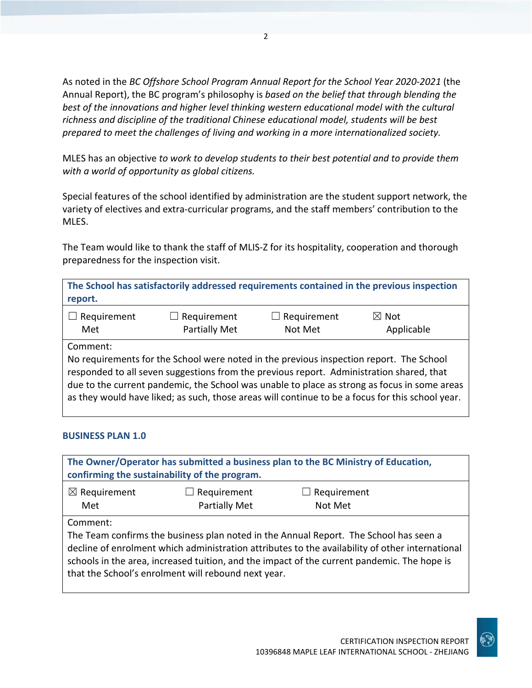As noted in the *BC Offshore School Program Annual Report for the School Year 2020-2021* (the Annual Report), the BC program's philosophy is *based on the belief that through blending the best of the innovations and higher level thinking western educational model with the cultural richness and discipline of the traditional Chinese educational model, students will be best prepared to meet the challenges of living and working in a more internationalized society.*

MLES has an objective *to work to develop students to their best potential and to provide them with a world of opportunity as global citizens.*

Special features of the school identified by administration are the student support network, the variety of electives and extra-curricular programs, and the staff members' contribution to the MLES.

The Team would like to thank the staff of MLIS-Z for its hospitality, cooperation and thorough preparedness for the inspection visit.

**The School has satisfactorily addressed requirements contained in the previous inspection report.**

| $\Box$ Requirement | $\Box$ Requirement   | $\Box$ Requirement | $\boxtimes$ Not |
|--------------------|----------------------|--------------------|-----------------|
| Met                | <b>Partially Met</b> | Not Met            | Applicable      |

Comment:

No requirements for the School were noted in the previous inspection report. The School responded to all seven suggestions from the previous report. Administration shared, that due to the current pandemic, the School was unable to place as strong as focus in some areas as they would have liked; as such, those areas will continue to be a focus for this school year.

#### **BUSINESS PLAN 1.0**

| The Owner/Operator has submitted a business plan to the BC Ministry of Education,<br>confirming the sustainability of the program.                                                                                                                                                                                                                         |  |  |  |  |
|------------------------------------------------------------------------------------------------------------------------------------------------------------------------------------------------------------------------------------------------------------------------------------------------------------------------------------------------------------|--|--|--|--|
| $\boxtimes$ Requirement<br>Requirement<br>Requirement<br><b>Partially Met</b><br>Not Met<br>Met                                                                                                                                                                                                                                                            |  |  |  |  |
| Comment:<br>The Team confirms the business plan noted in the Annual Report. The School has seen a<br>decline of enrolment which administration attributes to the availability of other international<br>schools in the area, increased tuition, and the impact of the current pandemic. The hope is<br>that the School's enrolment will rebound next year. |  |  |  |  |

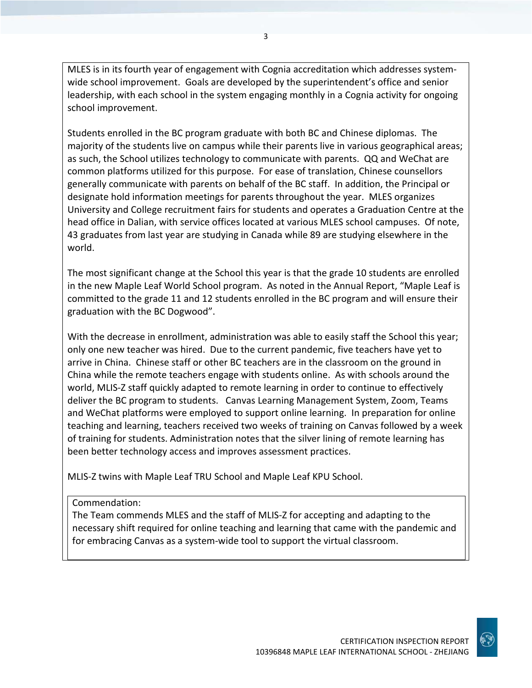MLES is in its fourth year of engagement with Cognia accreditation which addresses systemwide school improvement. Goals are developed by the superintendent's office and senior leadership, with each school in the system engaging monthly in a Cognia activity for ongoing school improvement.

Students enrolled in the BC program graduate with both BC and Chinese diplomas. The majority of the students live on campus while their parents live in various geographical areas; as such, the School utilizes technology to communicate with parents. QQ and WeChat are common platforms utilized for this purpose. For ease of translation, Chinese counsellors generally communicate with parents on behalf of the BC staff. In addition, the Principal or designate hold information meetings for parents throughout the year. MLES organizes University and College recruitment fairs for students and operates a Graduation Centre at the head office in Dalian, with service offices located at various MLES school campuses. Of note, 43 graduates from last year are studying in Canada while 89 are studying elsewhere in the world.

The most significant change at the School this year is that the grade 10 students are enrolled in the new Maple Leaf World School program. As noted in the Annual Report, "Maple Leaf is committed to the grade 11 and 12 students enrolled in the BC program and will ensure their graduation with the BC Dogwood".

With the decrease in enrollment, administration was able to easily staff the School this year; only one new teacher was hired. Due to the current pandemic, five teachers have yet to arrive in China. Chinese staff or other BC teachers are in the classroom on the ground in China while the remote teachers engage with students online. As with schools around the world, MLIS-Z staff quickly adapted to remote learning in order to continue to effectively deliver the BC program to students. Canvas Learning Management System, Zoom, Teams and WeChat platforms were employed to support online learning. In preparation for online teaching and learning, teachers received two weeks of training on Canvas followed by a week of training for students. Administration notes that the silver lining of remote learning has been better technology access and improves assessment practices.

MLIS-Z twins with Maple Leaf TRU School and Maple Leaf KPU School.

#### Commendation:

The Team commends MLES and the staff of MLIS-Z for accepting and adapting to the necessary shift required for online teaching and learning that came with the pandemic and for embracing Canvas as a system-wide tool to support the virtual classroom.

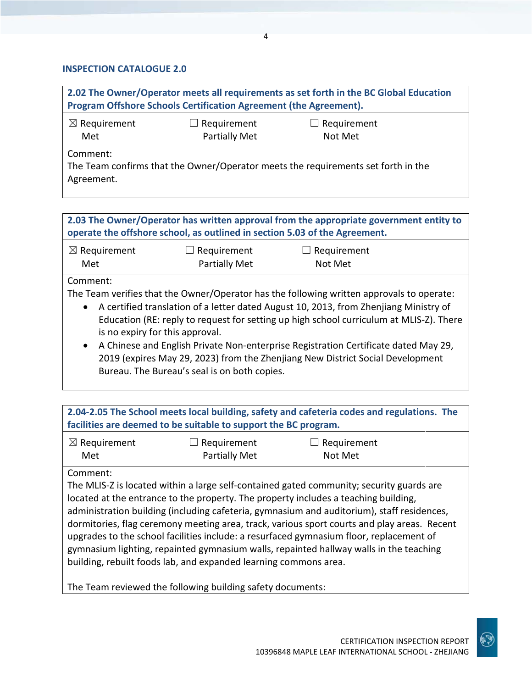#### **INSPECTION CATALOGUE 2.0**

| 2.02 The Owner/Operator meets all requirements as set forth in the BC Global Education<br>Program Offshore Schools Certification Agreement (the Agreement). |  |  |  |
|-------------------------------------------------------------------------------------------------------------------------------------------------------------|--|--|--|
| $\boxtimes$ Requirement<br>$\Box$ Requirement<br>$\Box$ Requirement<br>Partially Met<br>Not Met<br>Met                                                      |  |  |  |
| Comment:<br>The Team confirms that the Owner/Operator meets the requirements set forth in the<br>Agreement.                                                 |  |  |  |

**2.03 The Owner/Operator has written approval from the appropriate government entity to operate the offshore school, as outlined in section 5.03 of the Agreement.**

| $\boxtimes$ Requirement | $\Box$ Requirement | $\Box$ Requirement |  |
|-------------------------|--------------------|--------------------|--|
| Met                     | Partially Met      | Not Met            |  |

Comment:

The Team verifies that the Owner/Operator has the following written approvals to operate:

- A certified translation of a letter dated August 10, 2013, from Zhenjiang Ministry of Education (RE: reply to request for setting up high school curriculum at MLIS-Z). There is no expiry for this approval.
- A Chinese and English Private Non-enterprise Registration Certificate dated May 29, 2019 (expires May 29, 2023) from the Zhenjiang New District Social Development Bureau. The Bureau's seal is on both copies.

**2.04-2.05 The School meets local building, safety and cafeteria codes and regulations. The facilities are deemed to be suitable to support the BC program.**

| $\boxtimes$ Requirement | $\Box$ Requirement   | $\Box$ Requirement |
|-------------------------|----------------------|--------------------|
| Met                     | <b>Partially Met</b> | Not Met            |

#### Comment:

The MLIS-Z is located within a large self-contained gated community; security guards are located at the entrance to the property. The property includes a teaching building, administration building (including cafeteria, gymnasium and auditorium), staff residences, dormitories, flag ceremony meeting area, track, various sport courts and play areas. Recent upgrades to the school facilities include: a resurfaced gymnasium floor, replacement of gymnasium lighting, repainted gymnasium walls, repainted hallway walls in the teaching building, rebuilt foods lab, and expanded learning commons area.

The Team reviewed the following building safety documents:

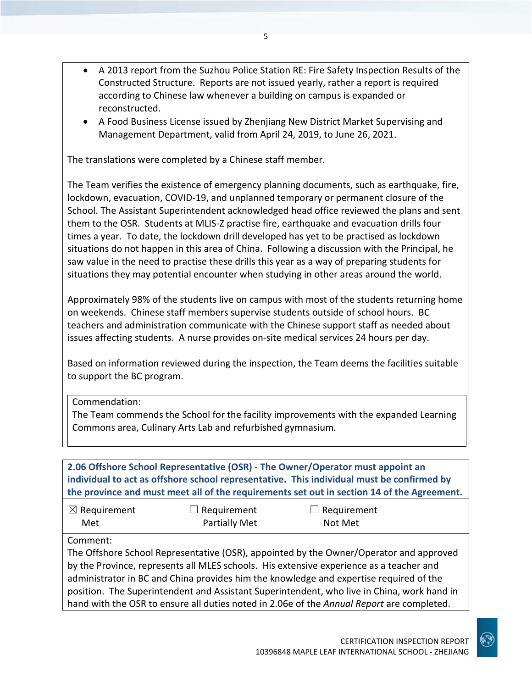- A 2013 report from the Suzhou Police Station RE: Fire Safety Inspection Results of the Constructed Structure. Reports are not issued yearly, rather a report is required according to Chinese law whenever a building on campus is expanded or reconstructed.
- A Food Business License issued by Zhenjiang New District Market Supervising and Management Department, valid from April 24, 2019, to June 26, 2021.

The translations were completed by a Chinese staff member.

The Team verifies the existence of emergency planning documents, such as earthquake, fire, lockdown, evacuation, COVID-19, and unplanned temporary or permanent closure of the School. The Assistant Superintendent acknowledged head office reviewed the plans and sent them to the OSR. Students at MLIS-Z practise fire, earthquake and evacuation drills four times a year. To date, the lockdown drill developed has yet to be practised as lockdown situations do not happen in this area of China. Following a discussion with the Principal, he saw value in the need to practise these drills this year as a way of preparing students for situations they may potential encounter when studying in other areas around the world.

Approximately 98% of the students live on campus with most of the students returning home on weekends. Chinese staff members supervise students outside of school hours. BC teachers and administration communicate with the Chinese support staff as needed about issues affecting students. A nurse provides on-site medical services 24 hours per day.

Based on information reviewed during the inspection, the Team deems the facilities suitable to support the BC program.

Commendation:

The Team commends the School for the facility improvements with the expanded Learning Commons area, Culinary Arts Lab and refurbished gymnasium.

| 2.06 Offshore School Representative (OSR) - The Owner/Operator must appoint an<br>individual to act as offshore school representative. This individual must be confirmed by<br>the province and must meet all of the requirements set out in section 14 of the Agreement. |                    |                    |  |
|---------------------------------------------------------------------------------------------------------------------------------------------------------------------------------------------------------------------------------------------------------------------------|--------------------|--------------------|--|
| $\boxtimes$ Requirement                                                                                                                                                                                                                                                   | $\Box$ Requirement | $\Box$ Requirement |  |
| Met                                                                                                                                                                                                                                                                       | Partially Met      | Not Met            |  |
| Comment:                                                                                                                                                                                                                                                                  |                    |                    |  |
| The Offshore School Representative (OSR), appointed by the Owner/Operator and approved                                                                                                                                                                                    |                    |                    |  |
| by the Province, represents all MLES schools. His extensive experience as a teacher and                                                                                                                                                                                   |                    |                    |  |
| administrator in BC and China provides him the knowledge and expertise required of the                                                                                                                                                                                    |                    |                    |  |
| position. The Superintendent and Assistant Superintendent, who live in China, work hand in                                                                                                                                                                                |                    |                    |  |
| hand with the OSR to ensure all duties noted in 2.06e of the Annual Report are completed.                                                                                                                                                                                 |                    |                    |  |

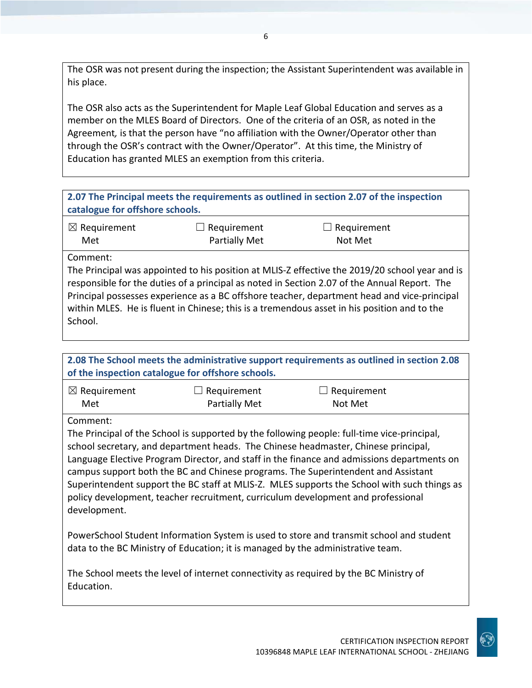The OSR was not present during the inspection; the Assistant Superintendent was available in his place.

The OSR also acts as the Superintendent for Maple Leaf Global Education and serves as a member on the MLES Board of Directors. One of the criteria of an OSR, as noted in the Agreement*,* is that the person have "no affiliation with the Owner/Operator other than through the OSR's contract with the Owner/Operator". At this time, the Ministry of Education has granted MLES an exemption from this criteria.

| 2.07 The Principal meets the requirements as outlined in section 2.07 of the inspection<br>catalogue for offshore schools. |                  |                                                                                             |  |
|----------------------------------------------------------------------------------------------------------------------------|------------------|---------------------------------------------------------------------------------------------|--|
| $\boxtimes$ Requirement                                                                                                    | Requirement<br>ப | Requirement                                                                                 |  |
| Met                                                                                                                        | Partially Met    | Not Met                                                                                     |  |
| Comment:                                                                                                                   |                  |                                                                                             |  |
| The Principal was appointed to his position at MLIS-Z effective the 2019/20 school year and is                             |                  |                                                                                             |  |
| responsible for the duties of a principal as noted in Section 2.07 of the Annual Report. The                               |                  |                                                                                             |  |
| Principal possesses experience as a BC offshore teacher, department head and vice-principal                                |                  |                                                                                             |  |
|                                                                                                                            |                  | within MLES. He is fluent in Chinese; this is a tremendous asset in his position and to the |  |
| School.                                                                                                                    |                  |                                                                                             |  |

| 2.08 The School meets the administrative support requirements as outlined in section 2.08 |
|-------------------------------------------------------------------------------------------|
| of the inspection catalogue for offshore schools.                                         |
|                                                                                           |

| $\boxtimes$ Requirement | $\Box$ Requirement | $\Box$ Requirement |
|-------------------------|--------------------|--------------------|
| Met                     | Partially Met      | Not Met            |

#### Comment:

The Principal of the School is supported by the following people: full-time vice-principal, school secretary, and department heads. The Chinese headmaster, Chinese principal, Language Elective Program Director, and staff in the finance and admissions departments on campus support both the BC and Chinese programs. The Superintendent and Assistant Superintendent support the BC staff at MLIS-Z. MLES supports the School with such things as policy development, teacher recruitment, curriculum development and professional development.

PowerSchool Student Information System is used to store and transmit school and student data to the BC Ministry of Education; it is managed by the administrative team.

The School meets the level of internet connectivity as required by the BC Ministry of Education.

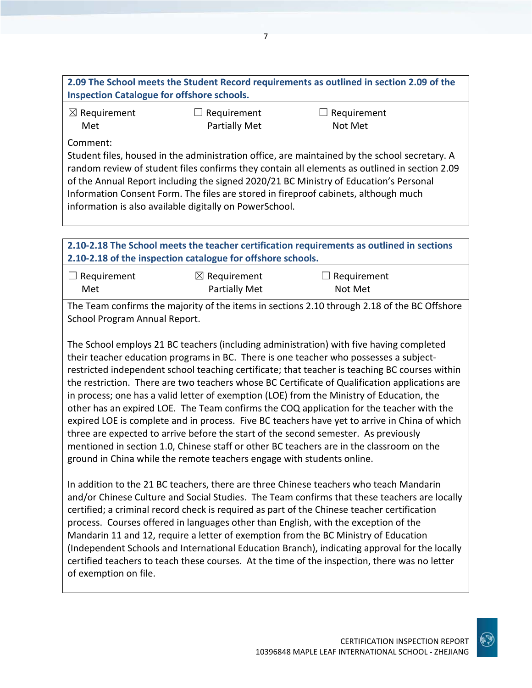| 2.09 The School meets the Student Record requirements as outlined in section 2.09 of the |  |
|------------------------------------------------------------------------------------------|--|
| <b>Inspection Catalogue for offshore schools.</b>                                        |  |

| $\boxtimes$ Requirement | $\Box$ Requirement   | $\Box$ Requirement |
|-------------------------|----------------------|--------------------|
| Met                     | <b>Partially Met</b> | Not Met            |

Comment:

Student files, housed in the administration office, are maintained by the school secretary. A random review of student files confirms they contain all elements as outlined in section 2.09 of the Annual Report including the signed 2020/21 BC Ministry of Education's Personal Information Consent Form. The files are stored in fireproof cabinets, although much information is also available digitally on PowerSchool.

**2.10-2.18 The School meets the teacher certification requirements as outlined in sections 2.10-2.18 of the inspection catalogue for offshore schools.**

| $\Box$ Requirement | $\boxtimes$ Requirement | $\Box$ Requirement |
|--------------------|-------------------------|--------------------|
| Met                | Partially Met           | Not Met            |

The Team confirms the majority of the items in sections 2.10 through 2.18 of the BC Offshore School Program Annual Report.

The School employs 21 BC teachers (including administration) with five having completed their teacher education programs in BC. There is one teacher who possesses a subjectrestricted independent school teaching certificate; that teacher is teaching BC courses within the restriction. There are two teachers whose BC Certificate of Qualification applications are in process; one has a valid letter of exemption (LOE) from the Ministry of Education, the other has an expired LOE. The Team confirms the COQ application for the teacher with the expired LOE is complete and in process. Five BC teachers have yet to arrive in China of which three are expected to arrive before the start of the second semester. As previously mentioned in section 1.0, Chinese staff or other BC teachers are in the classroom on the ground in China while the remote teachers engage with students online.

In addition to the 21 BC teachers, there are three Chinese teachers who teach Mandarin and/or Chinese Culture and Social Studies. The Team confirms that these teachers are locally certified; a criminal record check is required as part of the Chinese teacher certification process. Courses offered in languages other than English, with the exception of the Mandarin 11 and 12, require a letter of exemption from the BC Ministry of Education (Independent Schools and International Education Branch), indicating approval for the locally certified teachers to teach these courses. At the time of the inspection, there was no letter of exemption on file.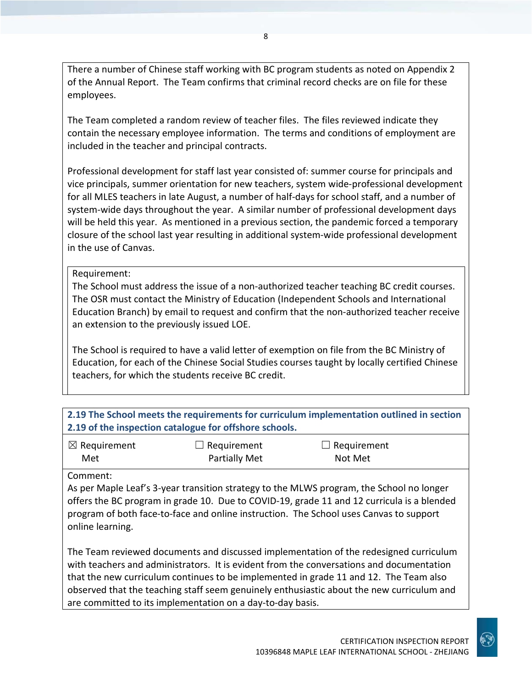There a number of Chinese staff working with BC program students as noted on Appendix 2 of the Annual Report. The Team confirms that criminal record checks are on file for these employees.

The Team completed a random review of teacher files. The files reviewed indicate they contain the necessary employee information. The terms and conditions of employment are included in the teacher and principal contracts.

Professional development for staff last year consisted of: summer course for principals and vice principals, summer orientation for new teachers, system wide-professional development for all MLES teachers in late August, a number of half-days for school staff, and a number of system-wide days throughout the year. A similar number of professional development days will be held this year. As mentioned in a previous section, the pandemic forced a temporary closure of the school last year resulting in additional system-wide professional development in the use of Canvas.

Requirement:

The School must address the issue of a non-authorized teacher teaching BC credit courses. The OSR must contact the Ministry of Education (Independent Schools and International Education Branch) by email to request and confirm that the non-authorized teacher receive an extension to the previously issued LOE.

The School is required to have a valid letter of exemption on file from the BC Ministry of Education, for each of the Chinese Social Studies courses taught by locally certified Chinese teachers, for which the students receive BC credit.

**2.19 The School meets the requirements for curriculum implementation outlined in section 2.19 of the inspection catalogue for offshore schools.**

| $\boxtimes$ Requirement | $\Box$ Requirement   | $\Box$ Requirement |
|-------------------------|----------------------|--------------------|
| Met                     | <b>Partially Met</b> | Not Met            |

Comment:

As per Maple Leaf's 3-year transition strategy to the MLWS program, the School no longer offers the BC program in grade 10. Due to COVID-19, grade 11 and 12 curricula is a blended program of both face-to-face and online instruction. The School uses Canvas to support online learning.

The Team reviewed documents and discussed implementation of the redesigned curriculum with teachers and administrators. It is evident from the conversations and documentation that the new curriculum continues to be implemented in grade 11 and 12. The Team also observed that the teaching staff seem genuinely enthusiastic about the new curriculum and are committed to its implementation on a day-to-day basis.

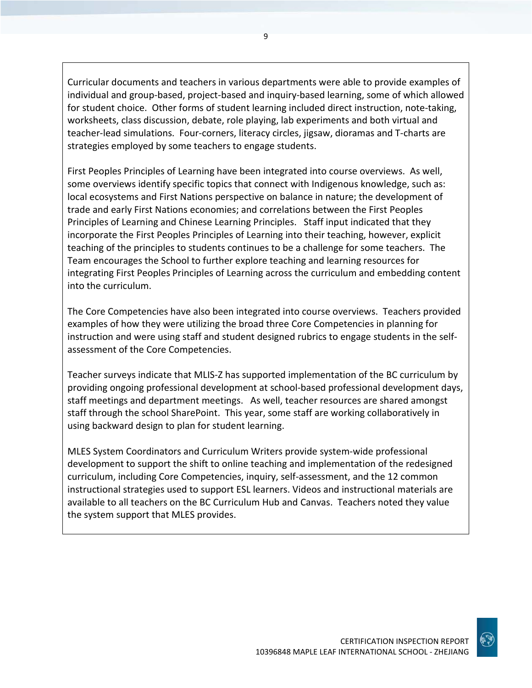Curricular documents and teachers in various departments were able to provide examples of individual and group-based, project-based and inquiry-based learning, some of which allowed for student choice. Other forms of student learning included direct instruction, note-taking, worksheets, class discussion, debate, role playing, lab experiments and both virtual and teacher-lead simulations. Four-corners, literacy circles, jigsaw, dioramas and T-charts are strategies employed by some teachers to engage students.

First Peoples Principles of Learning have been integrated into course overviews. As well, some overviews identify specific topics that connect with Indigenous knowledge, such as: local ecosystems and First Nations perspective on balance in nature; the development of trade and early First Nations economies; and correlations between the First Peoples Principles of Learning and Chinese Learning Principles. Staff input indicated that they incorporate the First Peoples Principles of Learning into their teaching, however, explicit teaching of the principles to students continues to be a challenge for some teachers. The Team encourages the School to further explore teaching and learning resources for integrating First Peoples Principles of Learning across the curriculum and embedding content into the curriculum.

The Core Competencies have also been integrated into course overviews. Teachers provided examples of how they were utilizing the broad three Core Competencies in planning for instruction and were using staff and student designed rubrics to engage students in the selfassessment of the Core Competencies.

Teacher surveys indicate that MLIS-Z has supported implementation of the BC curriculum by providing ongoing professional development at school-based professional development days, staff meetings and department meetings. As well, teacher resources are shared amongst staff through the school SharePoint. This year, some staff are working collaboratively in using backward design to plan for student learning.

MLES System Coordinators and Curriculum Writers provide system-wide professional development to support the shift to online teaching and implementation of the redesigned curriculum, including Core Competencies, inquiry, self-assessment, and the 12 common instructional strategies used to support ESL learners. Videos and instructional materials are available to all teachers on the BC Curriculum Hub and Canvas. Teachers noted they value the system support that MLES provides.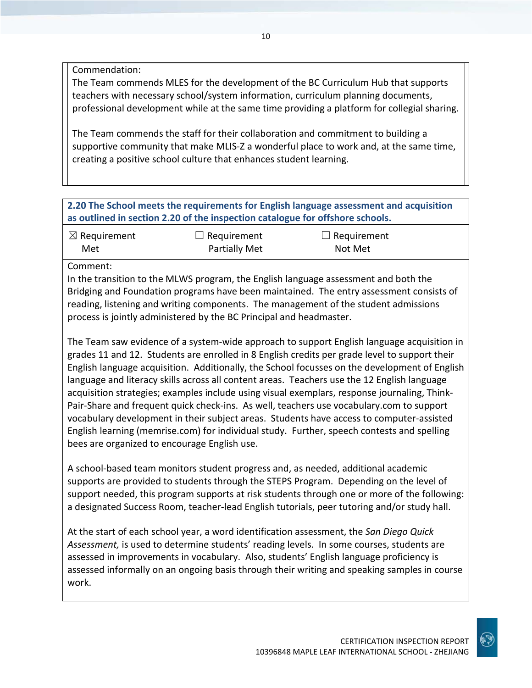Commendation:

The Team commends MLES for the development of the BC Curriculum Hub that supports teachers with necessary school/system information, curriculum planning documents, professional development while at the same time providing a platform for collegial sharing.

The Team commends the staff for their collaboration and commitment to building a supportive community that make MLIS-Z a wonderful place to work and, at the same time, creating a positive school culture that enhances student learning.

**2.20 The School meets the requirements for English language assessment and acquisition as outlined in section 2.20 of the inspection catalogue for offshore schools.**

| $\boxtimes$ Requirement | $\Box$ Requirement   | $\Box$ Requirement |
|-------------------------|----------------------|--------------------|
| Met                     | <b>Partially Met</b> | Not Met            |

Comment:

In the transition to the MLWS program, the English language assessment and both the Bridging and Foundation programs have been maintained. The entry assessment consists of reading, listening and writing components. The management of the student admissions process is jointly administered by the BC Principal and headmaster.

The Team saw evidence of a system-wide approach to support English language acquisition in grades 11 and 12. Students are enrolled in 8 English credits per grade level to support their English language acquisition. Additionally, the School focusses on the development of English language and literacy skills across all content areas. Teachers use the 12 English language acquisition strategies; examples include using visual exemplars, response journaling, Think-Pair-Share and frequent quick check-ins. As well, teachers use vocabulary.com to support vocabulary development in their subject areas. Students have access to computer-assisted English learning (memrise.com) for individual study. Further, speech contests and spelling bees are organized to encourage English use.

A school-based team monitors student progress and, as needed, additional academic supports are provided to students through the STEPS Program. Depending on the level of support needed, this program supports at risk students through one or more of the following: a designated Success Room, teacher-lead English tutorials, peer tutoring and/or study hall.

At the start of each school year, a word identification assessment, the *San Diego Quick Assessment,* is used to determine students' reading levels. In some courses, students are assessed in improvements in vocabulary. Also, students' English language proficiency is assessed informally on an ongoing basis through their writing and speaking samples in course work.

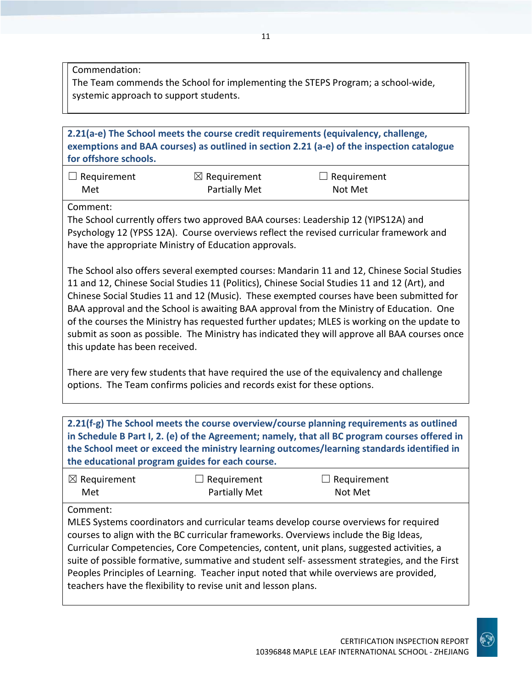Commendation:

The Team commends the School for implementing the STEPS Program; a school-wide, systemic approach to support students.

**2.21(a-e) The School meets the course credit requirements (equivalency, challenge, exemptions and BAA courses) as outlined in section 2.21 (a-e) of the inspection catalogue for offshore schools.**

| $\Box$ Requirement | $\boxtimes$ Requirement | $\Box$ Requirement |
|--------------------|-------------------------|--------------------|
| Met                | Partially Met           | Not Met            |

Comment:

The School currently offers two approved BAA courses: Leadership 12 (YIPS12A) and Psychology 12 (YPSS 12A). Course overviews reflect the revised curricular framework and have the appropriate Ministry of Education approvals.

The School also offers several exempted courses: Mandarin 11 and 12, Chinese Social Studies 11 and 12, Chinese Social Studies 11 (Politics), Chinese Social Studies 11 and 12 (Art), and Chinese Social Studies 11 and 12 (Music). These exempted courses have been submitted for BAA approval and the School is awaiting BAA approval from the Ministry of Education. One of the courses the Ministry has requested further updates; MLES is working on the update to submit as soon as possible. The Ministry has indicated they will approve all BAA courses once this update has been received.

There are very few students that have required the use of the equivalency and challenge options. The Team confirms policies and records exist for these options.

**2.21(f-g) The School meets the course overview/course planning requirements as outlined in Schedule B Part I, 2. (e) of the Agreement; namely, that all BC program courses offered in the School meet or exceed the ministry learning outcomes/learning standards identified in the educational program guides for each course.**

| $\boxtimes$ Requirement | $\Box$ Requirement | $\Box$ Requirement |
|-------------------------|--------------------|--------------------|
| Met                     | Partially Met      | Not Met            |

Comment:

MLES Systems coordinators and curricular teams develop course overviews for required courses to align with the BC curricular frameworks. Overviews include the Big Ideas, Curricular Competencies, Core Competencies, content, unit plans, suggested activities, a suite of possible formative, summative and student self- assessment strategies, and the First Peoples Principles of Learning. Teacher input noted that while overviews are provided, teachers have the flexibility to revise unit and lesson plans.

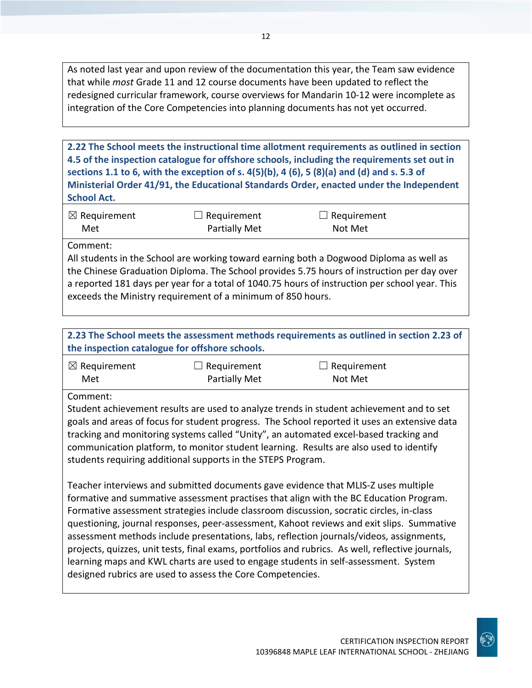As noted last year and upon review of the documentation this year, the Team saw evidence that while *most* Grade 11 and 12 course documents have been updated to reflect the redesigned curricular framework, course overviews for Mandarin 10-12 were incomplete as integration of the Core Competencies into planning documents has not yet occurred.

**2.22 The School meets the instructional time allotment requirements as outlined in section 4.5 of the inspection catalogue for offshore schools, including the requirements set out in sections 1.1 to 6, with the exception of s. 4(5)(b), 4 (6), 5 (8)(a) and (d) and s. 5.3 of Ministerial Order 41/91, the Educational Standards Order, enacted under the Independent School Act.**

| $\boxtimes$ Requirement | $\Box$ Requirement | $\Box$ Requirement |  |
|-------------------------|--------------------|--------------------|--|
| Met                     | Partially Met      | Not Met            |  |

Comment:

All students in the School are working toward earning both a Dogwood Diploma as well as the Chinese Graduation Diploma. The School provides 5.75 hours of instruction per day over a reported 181 days per year for a total of 1040.75 hours of instruction per school year. This exceeds the Ministry requirement of a minimum of 850 hours.

**2.23 The School meets the assessment methods requirements as outlined in section 2.23 of the inspection catalogue for offshore schools.**

| $\boxtimes$ Requirement | $\Box$ Requirement   | $\Box$ Requirement |
|-------------------------|----------------------|--------------------|
| Met                     | <b>Partially Met</b> | Not Met            |

Comment:

Student achievement results are used to analyze trends in student achievement and to set goals and areas of focus for student progress. The School reported it uses an extensive data tracking and monitoring systems called "Unity", an automated excel-based tracking and communication platform, to monitor student learning. Results are also used to identify students requiring additional supports in the STEPS Program.

Teacher interviews and submitted documents gave evidence that MLIS-Z uses multiple formative and summative assessment practises that align with the BC Education Program. Formative assessment strategies include classroom discussion, socratic circles, in-class questioning, journal responses, peer-assessment, Kahoot reviews and exit slips. Summative assessment methods include presentations, labs, reflection journals/videos, assignments, projects, quizzes, unit tests, final exams, portfolios and rubrics. As well, reflective journals, learning maps and KWL charts are used to engage students in self-assessment. System designed rubrics are used to assess the Core Competencies.

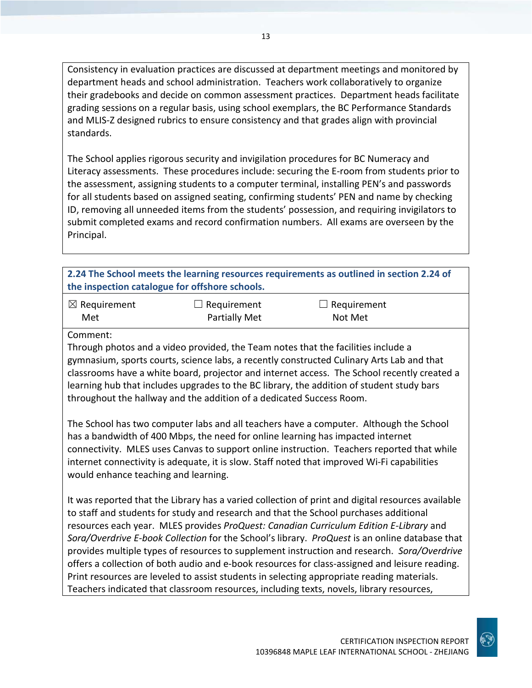Consistency in evaluation practices are discussed at department meetings and monitored by department heads and school administration. Teachers work collaboratively to organize their gradebooks and decide on common assessment practices. Department heads facilitate grading sessions on a regular basis, using school exemplars, the BC Performance Standards and MLIS-Z designed rubrics to ensure consistency and that grades align with provincial standards.

The School applies rigorous security and invigilation procedures for BC Numeracy and Literacy assessments. These procedures include: securing the E-room from students prior to the assessment, assigning students to a computer terminal, installing PEN's and passwords for all students based on assigned seating, confirming students' PEN and name by checking ID, removing all unneeded items from the students' possession, and requiring invigilators to submit completed exams and record confirmation numbers. All exams are overseen by the Principal.

#### **2.24 The School meets the learning resources requirements as outlined in section 2.24 of the inspection catalogue for offshore schools.**

| $\boxtimes$ Requirement | $\Box$ Requirement   | $\Box$ Requirement |
|-------------------------|----------------------|--------------------|
| Met                     | <b>Partially Met</b> | Not Met            |

#### Comment:

Through photos and a video provided, the Team notes that the facilities include a gymnasium, sports courts, science labs, a recently constructed Culinary Arts Lab and that classrooms have a white board, projector and internet access. The School recently created a learning hub that includes upgrades to the BC library, the addition of student study bars throughout the hallway and the addition of a dedicated Success Room.

The School has two computer labs and all teachers have a computer. Although the School has a bandwidth of 400 Mbps, the need for online learning has impacted internet connectivity. MLES uses Canvas to support online instruction. Teachers reported that while internet connectivity is adequate, it is slow. Staff noted that improved Wi-Fi capabilities would enhance teaching and learning.

It was reported that the Library has a varied collection of print and digital resources available to staff and students for study and research and that the School purchases additional resources each year. MLES provides *ProQuest: Canadian Curriculum Edition E-Library* and *Sora/Overdrive E-book Collection* for the School's library. *ProQuest* is an online database that provides multiple types of resources to supplement instruction and research. *Sora/Overdrive* offers a collection of both audio and e-book resources for class-assigned and leisure reading. Print resources are leveled to assist students in selecting appropriate reading materials. Teachers indicated that classroom resources, including texts, novels, library resources,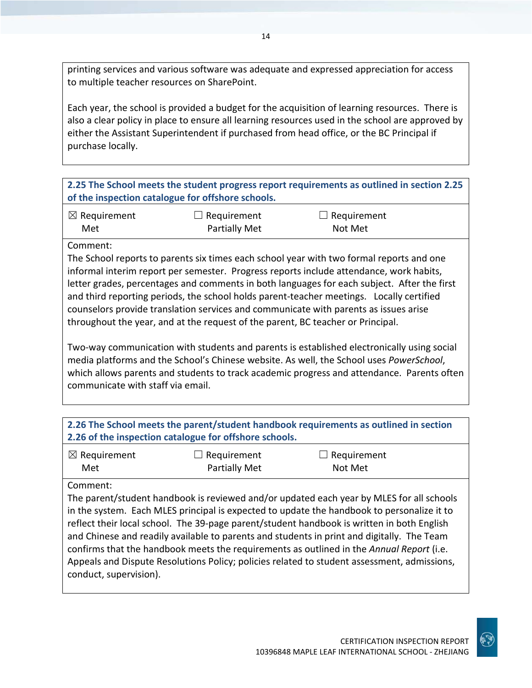printing services and various software was adequate and expressed appreciation for access to multiple teacher resources on SharePoint.

Each year, the school is provided a budget for the acquisition of learning resources. There is also a clear policy in place to ensure all learning resources used in the school are approved by either the Assistant Superintendent if purchased from head office, or the BC Principal if purchase locally.

#### **2.25 The School meets the student progress report requirements as outlined in section 2.25 of the inspection catalogue for offshore schools.**

| $\boxtimes$ Requirement | $\Box$ Requirement   | $\Box$ Requirement |
|-------------------------|----------------------|--------------------|
| Met                     | <b>Partially Met</b> | Not Met            |

#### Comment:

The School reports to parents six times each school year with two formal reports and one informal interim report per semester. Progress reports include attendance, work habits, letter grades, percentages and comments in both languages for each subject. After the first and third reporting periods, the school holds parent-teacher meetings. Locally certified counselors provide translation services and communicate with parents as issues arise throughout the year, and at the request of the parent, BC teacher or Principal.

Two-way communication with students and parents is established electronically using social media platforms and the School's Chinese website. As well, the School uses *PowerSchool*, which allows parents and students to track academic progress and attendance. Parents often communicate with staff via email.

| 2.26 The School meets the parent/student handbook requirements as outlined in section<br>2.26 of the inspection catalogue for offshore schools. |                              |                                                                                                                                                                                                                                                                                                                                                                                                                                                                                                                                                                               |
|-------------------------------------------------------------------------------------------------------------------------------------------------|------------------------------|-------------------------------------------------------------------------------------------------------------------------------------------------------------------------------------------------------------------------------------------------------------------------------------------------------------------------------------------------------------------------------------------------------------------------------------------------------------------------------------------------------------------------------------------------------------------------------|
| $\boxtimes$ Requirement<br>Met                                                                                                                  | Requirement<br>Partially Met | $\Box$ Requirement<br>Not Met                                                                                                                                                                                                                                                                                                                                                                                                                                                                                                                                                 |
| Comment:<br>conduct, supervision).                                                                                                              |                              | The parent/student handbook is reviewed and/or updated each year by MLES for all schools<br>in the system. Each MLES principal is expected to update the handbook to personalize it to<br>reflect their local school. The 39-page parent/student handbook is written in both English<br>and Chinese and readily available to parents and students in print and digitally. The Team<br>confirms that the handbook meets the requirements as outlined in the Annual Report (i.e.<br>Appeals and Dispute Resolutions Policy; policies related to student assessment, admissions, |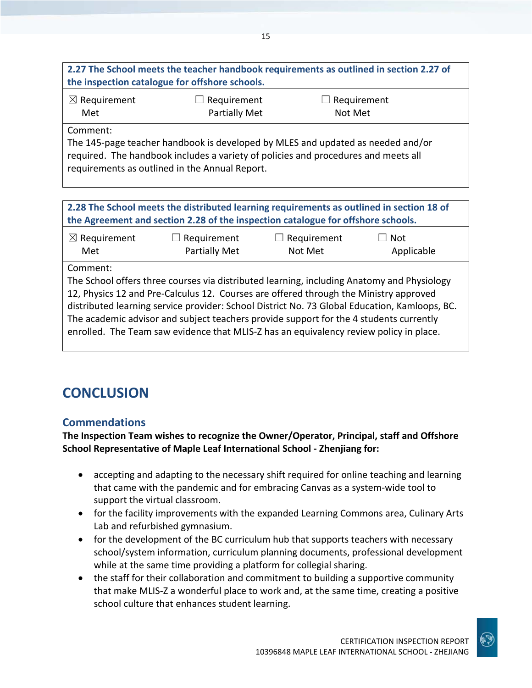| 2.27 The School meets the teacher handbook requirements as outlined in section 2.27 of |  |
|----------------------------------------------------------------------------------------|--|
| the inspection catalogue for offshore schools.                                         |  |

| $\boxtimes$ Requirement | $\Box$ Requirement   | $\Box$ Requirement |
|-------------------------|----------------------|--------------------|
| Met                     | <b>Partially Met</b> | Not Met            |

Comment:

The 145-page teacher handbook is developed by MLES and updated as needed and/or required. The handbook includes a variety of policies and procedures and meets all requirements as outlined in the Annual Report.

| the Agreement and section 2.28 of the inspection catalogue for offshore schools.         |
|------------------------------------------------------------------------------------------|
| 2.28 The School meets the distributed learning requirements as outlined in section 18 of |

| $\boxtimes$ Requirement | $\Box$ Requirement   | $\Box$ Requirement | $\square$ Not |
|-------------------------|----------------------|--------------------|---------------|
| Met                     | <b>Partially Met</b> | Not Met            | Applicable    |

Comment:

The School offers three courses via distributed learning, including Anatomy and Physiology 12, Physics 12 and Pre-Calculus 12. Courses are offered through the Ministry approved distributed learning service provider: School District No. 73 Global Education, Kamloops, BC. The academic advisor and subject teachers provide support for the 4 students currently enrolled. The Team saw evidence that MLIS-Z has an equivalency review policy in place.

# **CONCLUSION**

## **Commendations**

**The Inspection Team wishes to recognize the Owner/Operator, Principal, staff and Offshore School Representative of Maple Leaf International School - Zhenjiang for:**

- accepting and adapting to the necessary shift required for online teaching and learning that came with the pandemic and for embracing Canvas as a system-wide tool to support the virtual classroom.
- for the facility improvements with the expanded Learning Commons area, Culinary Arts Lab and refurbished gymnasium.
- for the development of the BC curriculum hub that supports teachers with necessary school/system information, curriculum planning documents, professional development while at the same time providing a platform for collegial sharing.
- the staff for their collaboration and commitment to building a supportive community that make MLIS-Z a wonderful place to work and, at the same time, creating a positive school culture that enhances student learning.